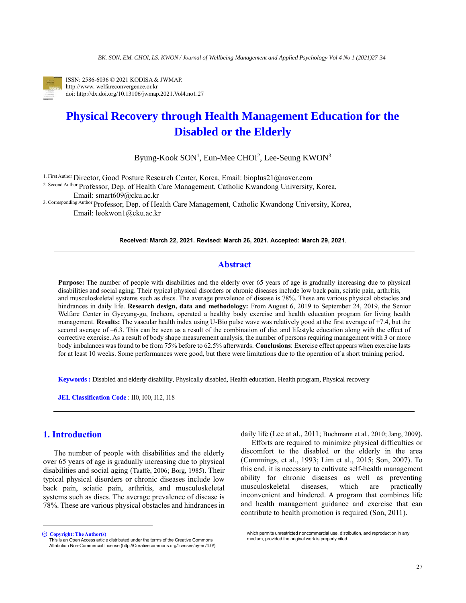

ISSN: 2586-6036 © 2021 KODISA & JWMAP. http://www. welfareconvergence.or.kr doi: http://dx.doi.org/10.13106/jwmap.2021.Vol4.no1.27

# **Physical Recovery through Health Management Education for the Disabled or the Elderly**

Byung-Kook SON<sup>1</sup>, Eun-Mee CHOI<sup>2</sup>, Lee-Seung KWON<sup>3</sup>

1. First Author Director, Good Posture Research Center, Korea, Email[: bioplus21@naver.com](mailto:bioplus21@naver.com)

2. Second Author Professor, Dep. of Health Care Management, Catholic Kwandong University, Korea, Email: [smart609@cku.ac.kr](mailto:smart609@cku.ac.kr)

3. Corresponding Author Professor, Dep. of Health Care Management, Catholic Kwandong University, Korea, Email: [leokwon1@cku.ac.kr](mailto:leokwon1@cku.ac.kr)

**Received: March 22, 2021. Revised: March 26, 2021. Accepted: March 29, 2021**.

# **Abstract**

**Purpose:** The number of people with disabilities and the elderly over 65 years of age is gradually increasing due to physical disabilities and social aging. Their typical physical disorders or chronic diseases include low back pain, sciatic pain, arthritis, and musculoskeletal systems such as discs. The average prevalence of disease is 78%. These are various physical obstacles and hindrances in daily life. **Research design, data and methodology:** From August 6, 2019 to September 24, 2019, the Senior Welfare Center in Gyeyang-gu, Incheon, operated a healthy body exercise and health education program for living health management. **Results:** The vascular health index using U-Bio pulse wave was relatively good at the first average of +7.4, but the second average of –6.3. This can be seen as a result of the combination of diet and lifestyle education along with the effect of corrective exercise. As a result of body shape measurement analysis, the number of persons requiring management with 3 or more body imbalances was found to be from 75% before to 62.5% afterwards. **Conclusions**: Exercise effect appears when exercise lasts for at least 10 weeks. Some performances were good, but there were limitations due to the operation of a short training period.

**Keywords :** Disabled and elderly disability, Physically disabled, Health education, Health program, Physical recovery

**JEL Classification Code** : II0, I00, I12, I18

# **1. Introduction<sup>1</sup>**

The number of people with disabilities and the elderly over 65 years of age is gradually increasing due to physical disabilities and social aging (Taaffe, 2006; Borg, 1985). Their typical physical disorders or chronic diseases include low back pain, sciatic pain, arthritis, and musculoskeletal systems such as discs. The average prevalence of disease is 78%. These are various physical obstacles and hindrances in daily life (Lee at al., 2011; Buchmann et al., 2010; Jang, 2009).

Efforts are required to minimize physical difficulties or discomfort to the disabled or the elderly in the area (Cummings, et al., 1993; Lim et al., 2015; Son, 2007). To this end, it is necessary to cultivate self-health management ability for chronic diseases as well as preventing musculoskeletal diseases, which are practically inconvenient and hindered. A program that combines life and health management guidance and exercise that can contribute to health promotion is required (Son, 2011).

<sup>ⓒ</sup> **Copyright: The Author(s)** This is an Open Access article distributed under the terms of the Creative Commons Attribution Non-Commercial License (http://Creativecommons.org/licenses/by-nc/4.0/)

which permits unrestricted noncommercial use, distribution, and reproduction in any medium, provided the original work is properly cited.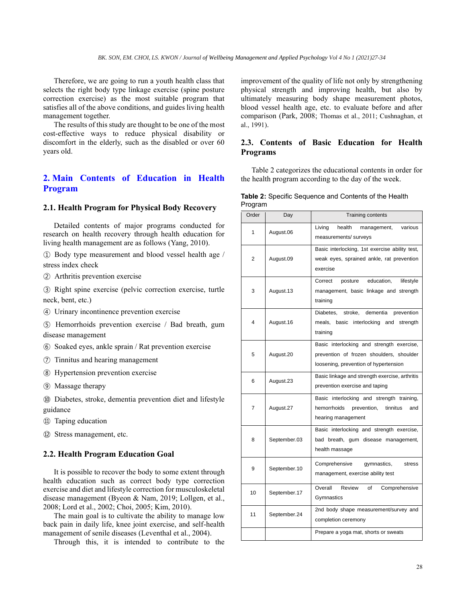Therefore, we are going to run a youth health class that selects the right body type linkage exercise (spine posture correction exercise) as the most suitable program that satisfies all of the above conditions, and guides living health management together.

The results of this study are thought to be one of the most cost-effective ways to reduce physical disability or discomfort in the elderly, such as the disabled or over 60 years old.

# **2. Main Contents of Education in Health Program**

### **2.1. Health Program for Physical Body Recovery**

Detailed contents of major programs conducted for research on health recovery through health education for living health management are as follows (Yang, 2010).

① Body type measurement and blood vessel health age / stress index check

② Arthritis prevention exercise

③ Right spine exercise (pelvic correction exercise, turtle neck, bent, etc.)

④ Urinary incontinence prevention exercise

⑤ Hemorrhoids prevention exercise / Bad breath, gum disease management

⑥ Soaked eyes, ankle sprain / Rat prevention exercise

⑦ Tinnitus and hearing management

⑧ Hypertension prevention exercise

⑨ Massage therapy

⑩ Diabetes, stroke, dementia prevention diet and lifestyle guidance

⑪ Taping education

⑫ Stress management, etc.

#### **2.2. Health Program Education Goal**

It is possible to recover the body to some extent through health education such as correct body type correction exercise and diet and lifestyle correction for musculoskeletal disease management (Byeon & Nam, 2019; Lollgen, et al., 2008; Lord et al., 2002; Choi, 2005; Kim, 2010).

The main goal is to cultivate the ability to manage low back pain in daily life, knee joint exercise, and self-health management of senile diseases (Leventhal et al., 2004).

Through this, it is intended to contribute to the

improvement of the quality of life not only by strengthening physical strength and improving health, but also by ultimately measuring body shape measurement photos, blood vessel health age, etc. to evaluate before and after comparison (Park, 2008; Thomas et al., 2011; Cushnaghan, et al., 1991).

## **2.3. Contents of Basic Education for Health Programs**

Table 2 categorizes the educational contents in order for the health program according to the day of the week.

| Table 2: Specific Sequence and Contents of the Health |  |  |
|-------------------------------------------------------|--|--|
| Program                                               |  |  |

| Order | Day          | <b>Training contents</b>                                                                                                       |
|-------|--------------|--------------------------------------------------------------------------------------------------------------------------------|
| 1     | August.06    | health<br>Living<br>management,<br>various<br>measurements/ surveys                                                            |
| 2     | August.09    | Basic interlocking, 1st exercise ability test,<br>weak eyes, sprained ankle, rat prevention<br>exercise                        |
| 3     | August.13    | education,<br>Correct<br>posture<br>lifestyle<br>management, basic linkage and strength<br>training                            |
| 4     | August.16    | dementia<br>Diabetes.<br>stroke,<br>prevention<br>meals, basic interlocking and<br>strength<br>training                        |
| 5     | August.20    | Basic interlocking and strength exercise,<br>prevention of frozen shoulders, shoulder<br>loosening, prevention of hypertension |
| 6     | August.23    | Basic linkage and strength exercise, arthritis<br>prevention exercise and taping                                               |
| 7     | August.27    | Basic interlocking and strength training,<br>hemorrhoids<br>tinnitus<br>prevention,<br>and<br>hearing management               |
| 8     | September.03 | Basic interlocking and strength exercise,<br>bad breath, gum disease management,<br>health massage                             |
| 9     | September.10 | Comprehensive<br>gymnastics,<br>stress<br>management, exercise ability test                                                    |
| 10    | September.17 | Overall<br>Review<br>of<br>Comprehensive<br>Gymnastics                                                                         |
| 11    | September.24 | 2nd body shape measurement/survey and<br>completion ceremony                                                                   |
|       |              | Prepare a yoga mat, shorts or sweats                                                                                           |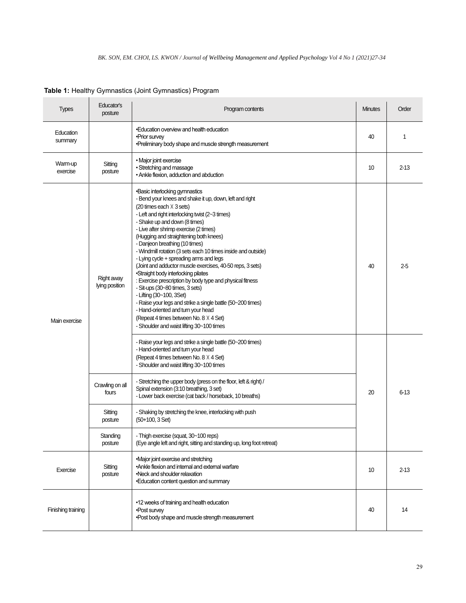| <b>Types</b>         | Educator's<br>posture        | Program contents                                                                                                                                                                                                                                                                                                                                                                                                                                                                                                                                                                                                                                                                                                                                                                                                                                                                                                                                                                                | <b>Minutes</b> | Order    |
|----------------------|------------------------------|-------------------------------------------------------------------------------------------------------------------------------------------------------------------------------------------------------------------------------------------------------------------------------------------------------------------------------------------------------------------------------------------------------------------------------------------------------------------------------------------------------------------------------------------------------------------------------------------------------------------------------------------------------------------------------------------------------------------------------------------------------------------------------------------------------------------------------------------------------------------------------------------------------------------------------------------------------------------------------------------------|----------------|----------|
| Education<br>summary |                              | •Education overview and health education<br>•Prior survey<br>•Preliminary body shape and muscle strength measurement                                                                                                                                                                                                                                                                                                                                                                                                                                                                                                                                                                                                                                                                                                                                                                                                                                                                            | 40             | 1        |
| Warm-up<br>exercise  | Sitting<br>posture           | • Major joint exercise<br>• Stretching and massage<br>• Ankle flexion, adduction and abduction                                                                                                                                                                                                                                                                                                                                                                                                                                                                                                                                                                                                                                                                                                                                                                                                                                                                                                  | 10             | $2 - 13$ |
| Main exercise        | Right away<br>lying position | •Basic interlocking gymnastics<br>- Bend your knees and shake it up, down, left and right<br>$(20 \text{ times each } X \text{ 3 sets})$<br>- Left and right interlocking twist (2~3 times)<br>- Shake up and down (8 times)<br>- Live after shrimp exercise (2 times)<br>(Hugging and straightening both knees)<br>- Danjeon breathing (10 times)<br>- Windmill rotation (3 sets each 10 times inside and outside)<br>- Lying cycle + spreading arms and legs<br>(Joint and adductor muscle exercises, 40-50 reps, 3 sets)<br>•Straight body interlocking pilates<br>: Exercise prescription by body type and physical fitness<br>- Sit-ups (30~80 times, 3 sets)<br>- Lifting (30~100, 3Set)<br>- Raise your legs and strike a single battle (50~200 times)<br>- Hand-oriented and turn your head<br>(Repeat 4 times between No. 8 X 4 Set)<br>- Shoulder and waist lifting 30~100 times<br>- Raise your legs and strike a single battle (50~200 times)<br>- Hand-oriented and turn your head | 40             | $2-5$    |
|                      | Crawling on all<br>fours     | (Repeat 4 times between No. 8 X 4 Set)<br>- Shoulder and waist lifting 30~100 times<br>- Stretching the upper body (press on the floor, left & right) /<br>Spinal extension (3:10 breathing, 3 set)<br>- Lower back exercise (cat back / horseback, 10 breaths)                                                                                                                                                                                                                                                                                                                                                                                                                                                                                                                                                                                                                                                                                                                                 | 20             | $6 - 13$ |
|                      | Sitting<br>posture           | - Shaking by stretching the knee, interlocking with push<br>$(50+100, 3 Set)$                                                                                                                                                                                                                                                                                                                                                                                                                                                                                                                                                                                                                                                                                                                                                                                                                                                                                                                   |                |          |
|                      | Standing<br>posture          | - Thigh exercise (squat, 30~100 reps)<br>(Eye angle left and right, sitting and standing up, long foot retreat)                                                                                                                                                                                                                                                                                                                                                                                                                                                                                                                                                                                                                                                                                                                                                                                                                                                                                 |                |          |
| Exercise             | Sitting<br>posture           | •Major joint exercise and stretching<br>.Ankle flexion and internal and external warfare<br>•Neck and shoulder relaxation<br>•Education content question and summary                                                                                                                                                                                                                                                                                                                                                                                                                                                                                                                                                                                                                                                                                                                                                                                                                            | 10             | $2 - 13$ |
| Finishing training   |                              | •12 weeks of training and health education<br>•Post survey<br>. Post body shape and muscle strength measurement                                                                                                                                                                                                                                                                                                                                                                                                                                                                                                                                                                                                                                                                                                                                                                                                                                                                                 | 40             | 14       |

**Table 1:** Healthy Gymnastics (Joint Gymnastics) Program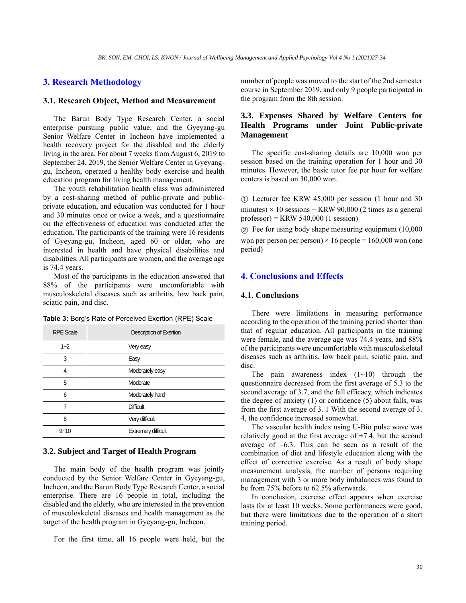#### **3. Research Methodology**

#### **3.1. Research Object, Method and Measurement**

The Barun Body Type Research Center, a social enterprise pursuing public value, and the Gyeyang-gu Senior Welfare Center in Incheon have implemented a health recovery project for the disabled and the elderly living in the area. For about 7 weeks from August 6, 2019 to September 24, 2019, the Senior Welfare Center in Gyeyanggu, Incheon, operated a healthy body exercise and health education program for living health management.

The youth rehabilitation health class was administered by a cost-sharing method of public-private and publicprivate education, and education was conducted for 1 hour and 30 minutes once or twice a week, and a questionnaire on the effectiveness of education was conducted after the education. The participants of the training were 16 residents of Gyeyang-gu, Incheon, aged 60 or older, who are interested in health and have physical disabilities and disabilities. All participants are women, and the average age is 74.4 years.

Most of the participants in the education answered that 88% of the participants were uncomfortable with musculoskeletal diseases such as arthritis, low back pain, sciatic pain, and disc.

|  | Table 3: Borg's Rate of Perceived Exertion (RPE) Scale |  |
|--|--------------------------------------------------------|--|
|--|--------------------------------------------------------|--|

| <b>RPE Scale</b> | Description of Exertion    |
|------------------|----------------------------|
| $1 - 2$          | Very easy                  |
| 3                | Easy                       |
| 4                | Moderately easy            |
| 5                | Moderate                   |
| 6                | Moderately hard            |
| 7                | Difficult                  |
| 8                | Very difficult             |
| $9 - 10$         | <b>Extremely difficult</b> |

#### **3.2. Subject and Target of Health Program**

The main body of the health program was jointly conducted by the Senior Welfare Center in Gyeyang-gu, Incheon, and the Barun Body Type Research Center, a social enterprise. There are 16 people in total, including the disabled and the elderly, who are interested in the prevention of musculoskeletal diseases and health management as the target of the health program in Gyeyang-gu, Incheon.

For the first time, all 16 people were held, but the

number of people was moved to the start of the 2nd semester course in September 2019, and only 9 people participated in the program from the 8th session.

# **3.3. Expenses Shared by Welfare Centers for Health Programs under Joint Public-private Management**

The specific cost-sharing details are 10,000 won per session based on the training operation for 1 hour and 30 minutes. However, the basic tutor fee per hour for welfare centers is based on 30,000 won.

① Lecturer fee KRW 45,000 per session (1 hour and 30 minutes)  $\times$  10 sessions + KRW 90,000 (2 times as a general professor) = KRW 540,000 (1 session)

② Fee for using body shape measuring equipment (10,000 won per person per person)  $\times$  16 people = 160,000 won (one period)

# **4. Conclusions and Effects**

#### **4.1. Conclusions**

There were limitations in measuring performance according to the operation of the training period shorter than that of regular education. All participants in the training were female, and the average age was 74.4 years, and 88% of the participants were uncomfortable with musculoskeletal diseases such as arthritis, low back pain, sciatic pain, and disc.

The pain awareness index  $(1~10)$  through the questionnaire decreased from the first average of 5.3 to the second average of 3.7, and the fall efficacy, which indicates the degree of anxiety (1) or confidence (5) about falls, was from the first average of 3. 1 With the second average of 3. 4, the confidence increased somewhat.

The vascular health index using U-Bio pulse wave was relatively good at the first average of  $+7.4$ , but the second average of  $-6.3$ . This can be seen as a result of the combination of diet and lifestyle education along with the effect of corrective exercise. As a result of body shape measurement analysis, the number of persons requiring management with 3 or more body imbalances was found to be from 75% before to 62.5% afterwards.

In conclusion, exercise effect appears when exercise lasts for at least 10 weeks. Some performances were good, but there were limitations due to the operation of a short training period.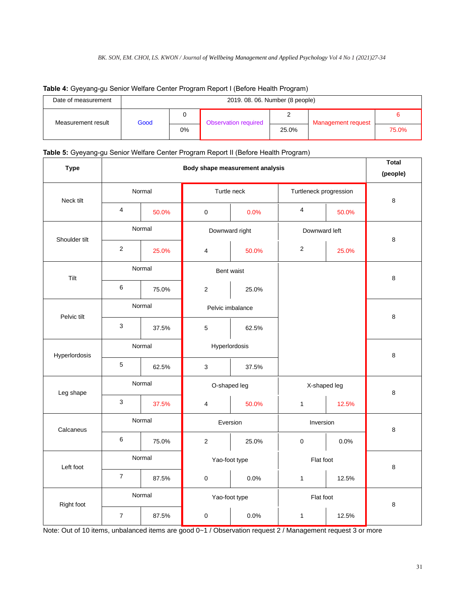| .                   |                                 | ີ     |                      |       |                    |       |  |  |  |
|---------------------|---------------------------------|-------|----------------------|-------|--------------------|-------|--|--|--|
| Date of measurement | 2019. 08. 06. Number (8 people) |       |                      |       |                    |       |  |  |  |
| Measurement result  | Good                            |       | Observation required |       | Management request |       |  |  |  |
|                     |                                 | $0\%$ |                      | 25.0% |                    | 75.0% |  |  |  |

# **Table 4:** Gyeyang-gu Senior Welfare Center Program Report I (Before Health Program)

## **Table 5:** Gyeyang-gu Senior Welfare Center Program Report II (Before Health Program)

| <b>Type</b>   |                  | <b>Total</b><br>(people) |                  |                |                        |           |   |  |
|---------------|------------------|--------------------------|------------------|----------------|------------------------|-----------|---|--|
| Neck tilt     |                  | Normal                   |                  | Turtle neck    | Turtleneck progression | 8         |   |  |
|               | $\overline{4}$   | 50.0%                    | $\pmb{0}$        | 0.0%           | 4                      | 50.0%     |   |  |
| Shoulder tilt |                  | Normal                   |                  | Downward right | Downward left          |           | 8 |  |
|               | $\overline{2}$   | 25.0%                    | 4                | 50.0%          | $\sqrt{2}$             | 25.0%     |   |  |
| Tilt          |                  | Normal                   |                  | Bent waist     |                        |           | 8 |  |
|               | 6                | 75.0%                    | $\sqrt{2}$       | 25.0%          |                        |           |   |  |
| Pelvic tilt   | Normal           |                          | Pelvic imbalance |                |                        |           | 8 |  |
|               | $\sqrt{3}$       | 37.5%                    | $\mathbf 5$      | 62.5%          |                        |           |   |  |
| Hyperlordosis | Normal           |                          | Hyperlordosis    |                |                        |           | 8 |  |
|               | $\mathbf 5$      | 62.5%                    | $\mathsf 3$      | 37.5%          |                        |           |   |  |
| Leg shape     | Normal           |                          | O-shaped leg     |                | X-shaped leg           |           | 8 |  |
|               | $\sqrt{3}$       | 37.5%                    | $\pmb{4}$        | 50.0%          | $\mathbf{1}$           | 12.5%     |   |  |
| Calcaneus     | Normal           |                          | Eversion         |                | Inversion              | 8         |   |  |
|               | 6                | 75.0%                    | $\sqrt{2}$       | 25.0%          | $\pmb{0}$              | 0.0%      |   |  |
| Left foot     | Normal           |                          | Yao-foot type    |                | Flat foot              | 8         |   |  |
|               | $\boldsymbol{7}$ | 87.5%                    | $\pmb{0}$        | 0.0%           | 1                      | 12.5%     |   |  |
| Right foot    |                  | Normal                   |                  | Yao-foot type  |                        | Flat foot |   |  |
|               | $\overline{7}$   | 87.5%                    | $\pmb{0}$        | 0.0%           | 1                      | 12.5%     | 8 |  |

Note: Out of 10 items, unbalanced items are good 0~1 / Observation request 2 / Management request 3 or more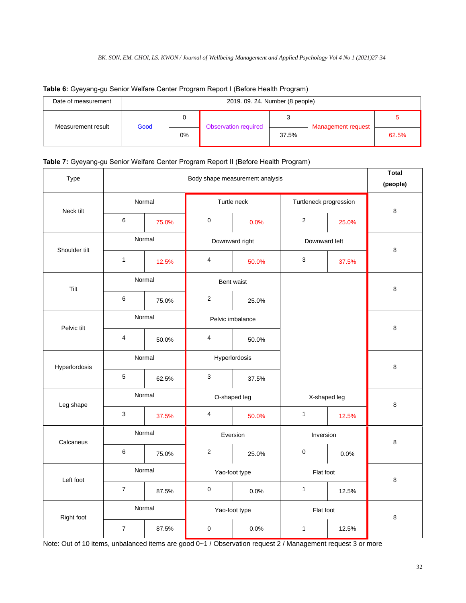| Date of measurement | 2019. 09. 24. Number (8 people) |       |                      |       |                    |       |  |  |  |
|---------------------|---------------------------------|-------|----------------------|-------|--------------------|-------|--|--|--|
| Measurement result  | Good                            | 0     | Observation required |       | Management request |       |  |  |  |
|                     |                                 | $0\%$ |                      | 37.5% |                    | 62.5% |  |  |  |

# **Table 6:** Gyeyang-gu Senior Welfare Center Program Report I (Before Health Program)

# **Table 7:** Gyeyang-gu Senior Welfare Center Program Report II (Before Health Program)

| Type          |                                  | <b>Total</b><br>(people) |                         |                |                        |       |   |       |
|---------------|----------------------------------|--------------------------|-------------------------|----------------|------------------------|-------|---|-------|
| Neck tilt     |                                  | Normal                   |                         | Turtle neck    | Turtleneck progression | 8     |   |       |
|               | 6                                | 75.0%                    | $\mathbf 0$             | 0.0%           |                        |       |   | 25.0% |
| Shoulder tilt |                                  | Normal                   |                         | Downward right | Downward left          |       | 8 |       |
|               | $\mathbf{1}$                     | 12.5%                    | 4                       | 50.0%          | 3                      | 37.5% |   |       |
| Tilt          |                                  | Normal                   |                         | Bent waist     |                        |       | 8 |       |
|               | $\,6\,$                          | 75.0%                    | $\sqrt{2}$              | 25.0%          |                        |       |   |       |
| Pelvic tilt   | Normal                           |                          | Pelvic imbalance        |                |                        |       | 8 |       |
|               | $\overline{\mathbf{4}}$<br>50.0% |                          | $\overline{4}$          | 50.0%          |                        |       |   |       |
| Hyperlordosis | Normal                           |                          | Hyperlordosis           |                |                        |       | 8 |       |
|               | $\mathbf 5$                      | 62.5%                    | $\mathbf{3}$            | 37.5%          |                        |       |   |       |
| Leg shape     | Normal                           |                          | O-shaped leg            |                | X-shaped leg           |       | 8 |       |
|               | $\mathsf 3$                      | 37.5%                    | $\overline{\mathbf{4}}$ | 50.0%          | $\mathbf{1}$           | 12.5% |   |       |
| Calcaneus     | Normal                           |                          | Eversion                |                | Inversion              |       | 8 |       |
|               | $\,6$                            | 75.0%                    | $\sqrt{2}$              | 25.0%          | $\pmb{0}$              | 0.0%  |   |       |
| Left foot     | Normal                           |                          | Yao-foot type           |                | Flat foot              |       | 8 |       |
|               | $\overline{7}$                   | 87.5%                    | $\pmb{0}$               | 0.0%           | $\mathbf{1}$           | 12.5% |   |       |
| Right foot    |                                  | Normal                   |                         | Yao-foot type  | Flat foot              | 8     |   |       |
|               | $\overline{7}$                   | 87.5%                    | $\boldsymbol{0}$        | 0.0%           | $\mathbf{1}$           | 12.5% |   |       |

Note: Out of 10 items, unbalanced items are good 0~1 / Observation request 2 / Management request 3 or more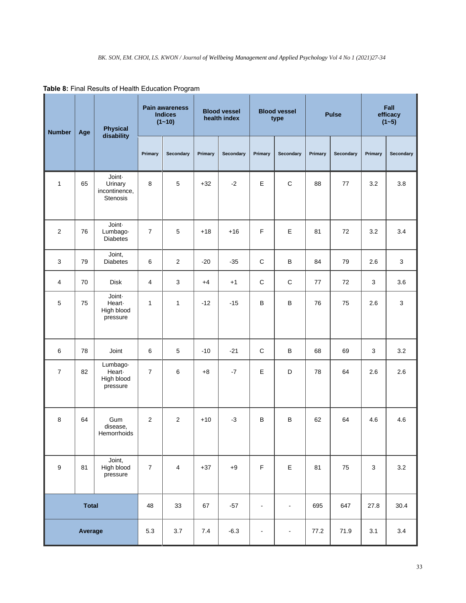| <b>Physical</b><br><b>Number</b><br>Age<br>disability |              |                                                       | <b>Pain awareness</b><br><b>Indices</b><br>$(1 - 10)$ |                | <b>Blood vessel</b><br>health index |           | <b>Blood vessel</b><br>type |                | <b>Pulse</b> |           | Fall<br>efficacy<br>$(1 - 5)$ |           |
|-------------------------------------------------------|--------------|-------------------------------------------------------|-------------------------------------------------------|----------------|-------------------------------------|-----------|-----------------------------|----------------|--------------|-----------|-------------------------------|-----------|
|                                                       |              |                                                       | Primary                                               | Secondary      | Primary                             | Secondary | Primary                     | Secondary      | Primary      | Secondary | Primary                       | Secondary |
| 1                                                     | 65           | Joint-<br>Urinary<br>incontinence,<br><b>Stenosis</b> | 8                                                     | 5              | $+32$                               | $-2$      | E                           | $\mathsf C$    | 88           | 77        | 3.2                           | 3.8       |
| $\overline{2}$                                        | 76           | Joint-<br>Lumbago-<br><b>Diabetes</b>                 | $\overline{7}$                                        | 5              | $+18$                               | $+16$     | $\mathsf F$                 | E              | 81           | 72        | 3.2                           | 3.4       |
| 3                                                     | 79           | Joint,<br><b>Diabetes</b>                             | 6                                                     | $\overline{2}$ | $-20$                               | $-35$     | $\mathsf C$                 | $\sf B$        | 84           | 79        | 2.6                           | 3         |
| 4                                                     | 70           | <b>Disk</b>                                           | 4                                                     | $\sqrt{3}$     | $+4$                                | $+1$      | $\mathsf C$                 | $\mathsf C$    | 77           | 72        | 3                             | 3.6       |
| 5                                                     | 75           | Joint-<br>Heart-<br>High blood<br>pressure            | $\mathbf{1}$                                          | $\mathbf{1}$   | $-12$                               | $-15$     | $\sf B$                     | B              | 76           | 75        | 2.6                           | 3         |
| $\,6\,$                                               | 78           | Joint                                                 | 6                                                     | 5              | $-10$                               | $-21$     | $\mathsf C$                 | B              | 68           | 69        | 3                             | 3.2       |
| $\overline{7}$                                        | 82           | Lumbago-<br>Heart-<br>High blood<br>pressure          | $\overline{7}$                                        | 6              | $+8$                                | $-7$      | E                           | D              | 78           | 64        | 2.6                           | 2.6       |
| 8                                                     | 64           | Gum<br>disease.<br>Hemorrhoids                        | 2                                                     | 2              | $+10$                               | $-3$      | B                           | B              | 62           | 64        | 4.6                           | 4.6       |
| 9                                                     | 81           | Joint,<br>High blood<br>pressure                      | $\overline{7}$                                        | $\overline{4}$ | $+37$                               | $+9$      | $\mathsf F$                 | $\mathsf E$    | 81           | 75        | $\sqrt{3}$                    | 3.2       |
|                                                       | <b>Total</b> |                                                       | 48                                                    | 33             | 67                                  | $-57$     | $\blacksquare$              | $\blacksquare$ | 695          | 647       | 27.8                          | 30.4      |
|                                                       | Average      |                                                       | 5.3                                                   | 3.7            | 7.4                                 | $-6.3$    | $\frac{1}{2}$               | $\blacksquare$ | 77.2         | 71.9      | 3.1                           | 3.4       |

**Table 8:** Final Results of Health Education Program